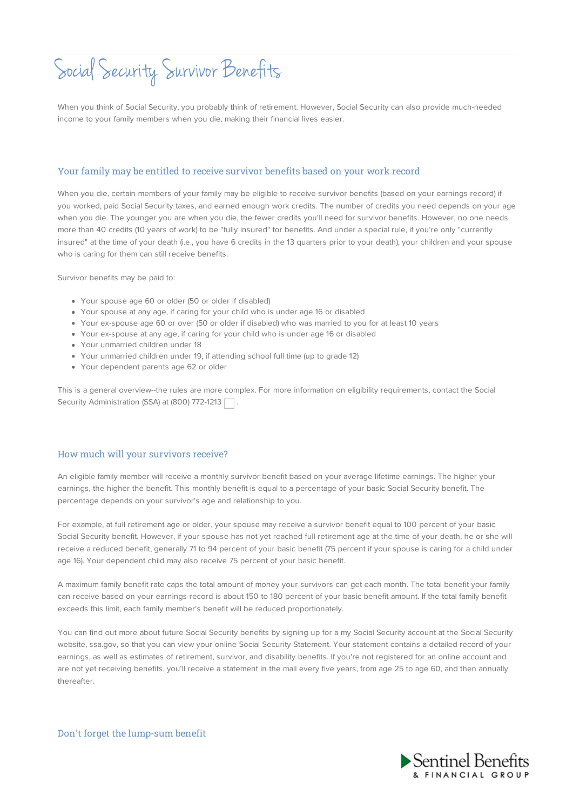## Social Security Survivor Benefits

When you think of Social Security, you probably think of retirement. However, Social Security can also provide much-needed income to your family members when you die, making their financial lives easier.

## Your family may be entitled to receive survivor benefits based on your work record

When you die, certain members of your family may be eligible to receive survivor benefits (based on your earnings record) if you worked, paid Social Security taxes, and earned enough work credits. The number of credits you need depends on your age when you die. The younger you are when you die, the fewer credits you'll need for survivor benefits. However, no one needs more than 40 credits (10 years of work) to be "fully insured" for benefits. And under a special rule, if you're only "currently insured" at the time of your death (i.e., you have 6 credits in the 13 quarters prior to your death), your children and your spouse who is caring for them can still receive benefits.

Survivor benefits may be paid to:

- Your spouse age 60 or older (50 or older if disabled)
- Your spouse at any age, if caring for your child who is under age 16 or disabled
- Your ex-spouse age 60 or over (50 or older if disabled) who was married to you for at least 10 years
- Your ex-spouse at any age, if caring for your child who is under age 16 or disabled
- Your unmarried children under 18
- Your unmarried children under 19, if attending school full time (up to grade 12)
- Your dependent parents age 62 or older

This is a general overview--the rules are more complex. For more information on eligibility requirements, contact the Social Security Administration (SSA) at (800) 772-1213  $\Box$ .

## How much will your survivors receive?

An eligible family member will receive a monthly survivor benefit based on your average lifetime earnings. The higher your earnings, the higher the benefit. This monthly benefit is equal to a percentage of your basic Social Security benefit. The percentage depends on your survivor's age and relationship to you.

For example, at full retirement age or older, your spouse may receive a survivor benefit equal to 100 percent of your basic Social Security benefit. However, if your spouse has not yet reached full retirement age at the time of your death, he or she will receive a reduced benefit, generally 71 to 94 percent of your basic benefit (75 percent if your spouse is caring for a child under age 16). Your dependent child may also receive 75 percent of your basic benefit.

A maximum family benefit rate caps the total amount of money your survivors can get each month. The total benefit your family can receive based on your earnings record is about 150 to 180 percent of your basic benefit amount. If the total family benefit exceeds this limit, each family member's benefit will be reduced proportionately.

You can find out more about future Social Security benefits by signing up for a my Social Security account at the Social Security website, ssa.gov, so that you can view your online Social Security Statement. Your statement contains a detailed record of your earnings, as well as estimates of retirement, survivor, and disability benefits. If you're not registered for an online account and are not yet receiving benefits, you'll receive a statement in the mail every five years, from age 25 to age 60, and then annually thereafter.

Don't forget the lump-sum benefit